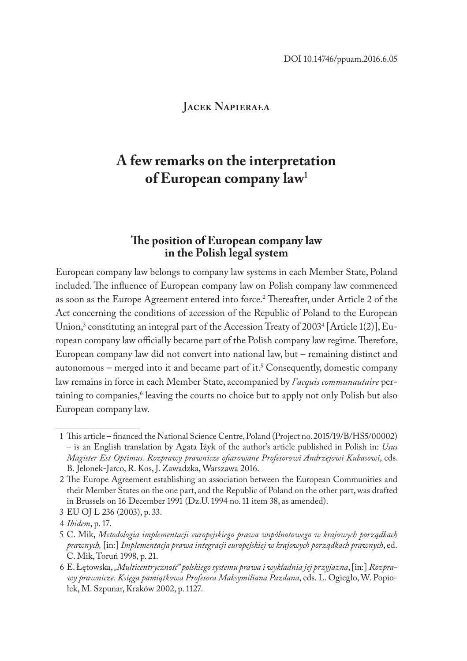### **Jacek Napierała**

# **A few remarks on the interpretation of European company law<sup>1</sup>**

# **The position of European company law in the Polish legal system**

European company law belongs to company law systems in each Member State, Poland included. The influence of European company law on Polish company law commenced as soon as the Europe Agreement entered into force.<sup>2</sup> Thereafter, under Article 2 of the Act concerning the conditions of accession of the Republic of Poland to the European Union,<sup>3</sup> constituting an integral part of the Accession Treaty of 2003<sup>4</sup> [Article 1(2)], European company law officially became part of the Polish company law regime. Therefore, European company law did not convert into national law, but – remaining distinct and autonomous – merged into it and became part of it.<sup>5</sup> Consequently, domestic company law remains in force in each Member State, accompanied by *l'acquis communautaire* pertaining to companies,<sup>6</sup> leaving the courts no choice but to apply not only Polish but also European company law.

<sup>1</sup> This article – financed the National Science Centre, Poland (Project no. 2015/19/B/HS5/00002) – is an English translation by Agata Iżyk of the author's article published in Polish in: *Usus Magister Est Optimus. Rozprawy prawnicze ofiarowane Profesorowi Andrzejowi Kubasowi*, eds. B. Jelonek-Jarco, R. Kos, J. Zawadzka, Warszawa 2016.

<sup>2</sup> The Europe Agreement establishing an association between the European Communities and their Member States on the one part, and the Republic of Poland on the other part, was drafted in Brussels on 16 December 1991 (Dz.U. 1994 no. 11 item 38, as amended).

<sup>3</sup> EU OJ L 236 (2003), p. 33.

<sup>4</sup> *Ibidem*, p. 17.

<sup>5</sup> C. Mik, *Metodologia implementacji europejskiego prawa wspólnotowego w krajowych porządkach prawnych,* [in:] *Implementacja prawa integracji europejskiej w krajowych porządkach prawnych*, ed. C. Mik, Toruń 1998, p. 21.

<sup>6</sup> E. Łętowska, *"Multicentryczność" polskiego systemu prawa i wykładnia jej przyjazna*, [in:] *Rozprawy prawnicze. Księga pamiątkowa Profesora Maksymiliana Pazdana*, eds. L. Ogiegło, W. Popiołek, M. Szpunar, Kraków 2002, p. 1127.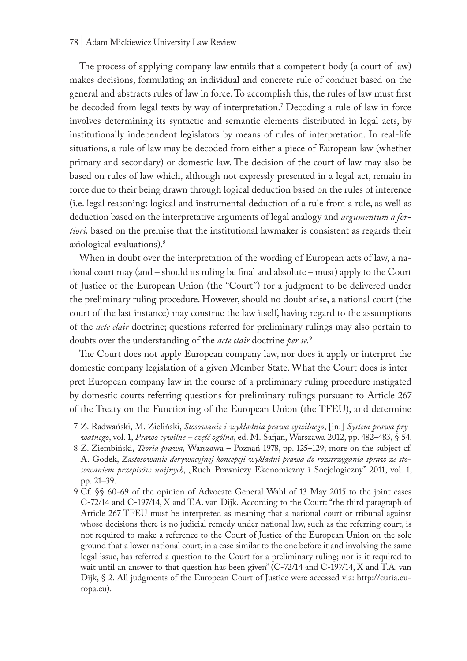#### 78 | Adam Mickiewicz University Law Review

The process of applying company law entails that a competent body (a court of law) makes decisions, formulating an individual and concrete rule of conduct based on the general and abstracts rules of law in force. To accomplish this, the rules of law must first be decoded from legal texts by way of interpretation.7 Decoding a rule of law in force involves determining its syntactic and semantic elements distributed in legal acts, by institutionally independent legislators by means of rules of interpretation. In real-life situations, a rule of law may be decoded from either a piece of European law (whether primary and secondary) or domestic law. The decision of the court of law may also be based on rules of law which, although not expressly presented in a legal act, remain in force due to their being drawn through logical deduction based on the rules of inference (i.e. legal reasoning: logical and instrumental deduction of a rule from a rule, as well as deduction based on the interpretative arguments of legal analogy and *argumentum a fortiori,* based on the premise that the institutional lawmaker is consistent as regards their axiological evaluations).8

When in doubt over the interpretation of the wording of European acts of law, a national court may (and – should its ruling be final and absolute – must) apply to the Court of Justice of the European Union (the "Court") for a judgment to be delivered under the preliminary ruling procedure. However, should no doubt arise, a national court (the court of the last instance) may construe the law itself, having regard to the assumptions of the *acte clair* doctrine; questions referred for preliminary rulings may also pertain to doubts over the understanding of the *acte clair* doctrine *per se.*<sup>9</sup>

The Court does not apply European company law, nor does it apply or interpret the domestic company legislation of a given Member State. What the Court does is interpret European company law in the course of a preliminary ruling procedure instigated by domestic courts referring questions for preliminary rulings pursuant to Article 267 of the Treaty on the Functioning of the European Union (the TFEU), and determine

<sup>7</sup> Z. Radwański, M. Zieliński, *Stosowanie i wykładnia prawa cywilnego*, [in:] *System prawa prywatnego*, vol. 1, *Prawo cywilne – część ogólna*, ed. M. Safjan, Warszawa 2012, pp. 482–483, § 54.

<sup>8</sup> Z. Ziembiński, *Teoria prawa,* Warszawa – Poznań 1978, pp. 125–129; more on the subject cf. A. Godek, *Zastosowanie derywacyjnej koncepcji wykładni prawa do rozstrzygania spraw ze stosowaniem przepisów unijnych*, "Ruch Prawniczy Ekonomiczny i Socjologiczny" 2011, vol. 1, pp. 21–39.

<sup>9</sup> Cf. §§ 60-69 of the opinion of Advocate General Wahl of 13 May 2015 to the joint cases C-72/14 and C-197/14, X and T.A. van Dijk. According to the Court: "the third paragraph of Article 267 TFEU must be interpreted as meaning that a national court or tribunal against whose decisions there is no judicial remedy under national law, such as the referring court, is not required to make a reference to the Court of Justice of the European Union on the sole ground that a lower national court, in a case similar to the one before it and involving the same legal issue, has referred a question to the Court for a preliminary ruling; nor is it required to wait until an answer to that question has been given" (C-72/14 and C-197/14, X and T.A. van Dijk, § 2. All judgments of the European Court of Justice were accessed via: http://curia.europa.eu).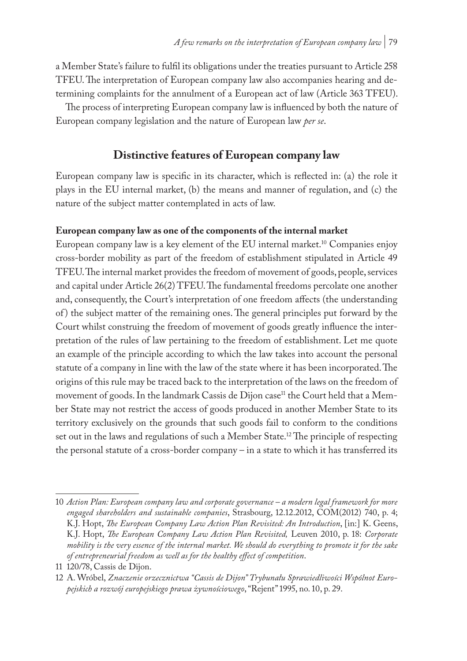a Member State's failure to fulfil its obligations under the treaties pursuant to Article 258 TFEU. The interpretation of European company law also accompanies hearing and determining complaints for the annulment of a European act of law (Article 363 TFEU).

The process of interpreting European company law is influenced by both the nature of European company legislation and the nature of European law *per se*.

# **Distinctive features of European company law**

European company law is specific in its character, which is reflected in: (a) the role it plays in the EU internal market, (b) the means and manner of regulation, and (c) the nature of the subject matter contemplated in acts of law.

### **European company law as one of the components of the internal market**

European company law is a key element of the EU internal market.10 Companies enjoy cross-border mobility as part of the freedom of establishment stipulated in Article 49 TFEU. The internal market provides the freedom of movement of goods, people, services and capital under Article 26(2) TFEU. The fundamental freedoms percolate one another and, consequently, the Court's interpretation of one freedom affects (the understanding of ) the subject matter of the remaining ones. The general principles put forward by the Court whilst construing the freedom of movement of goods greatly influence the interpretation of the rules of law pertaining to the freedom of establishment. Let me quote an example of the principle according to which the law takes into account the personal statute of a company in line with the law of the state where it has been incorporated. The origins of this rule may be traced back to the interpretation of the laws on the freedom of movement of goods. In the landmark Cassis de Dijon case<sup>11</sup> the Court held that a Member State may not restrict the access of goods produced in another Member State to its territory exclusively on the grounds that such goods fail to conform to the conditions set out in the laws and regulations of such a Member State.<sup>12</sup> The principle of respecting the personal statute of a cross-border company – in a state to which it has transferred its

<sup>10</sup> *Action Plan: European company law and corporate governance – a modern legal framework for more engaged shareholders and sustainable companies*, Strasbourg, 12.12.2012, COM(2012) 740, p. 4; K.J. Hopt, *The European Company Law Action Plan Revisited: An Introduction*, [in:] K. Geens, K.J. Hopt, *The European Company Law Action Plan Revisited,* Leuven 2010, p. 18: *Corporate mobility is the very essence of the internal market. We should do everything to promote it for the sake of entrepreneurial freedom as well as for the healthy effect of competition*.

<sup>11</sup> 120/78, Cassis de Dijon.

<sup>12</sup> A. Wróbel, *Znaczenie orzecznictwa "Cassis de Dijon" Trybunału Sprawiedliwości Wspólnot Europejskich a rozwój europejskiego prawa żywnościowego*, "Rejent" 1995, no. 10, p. 29.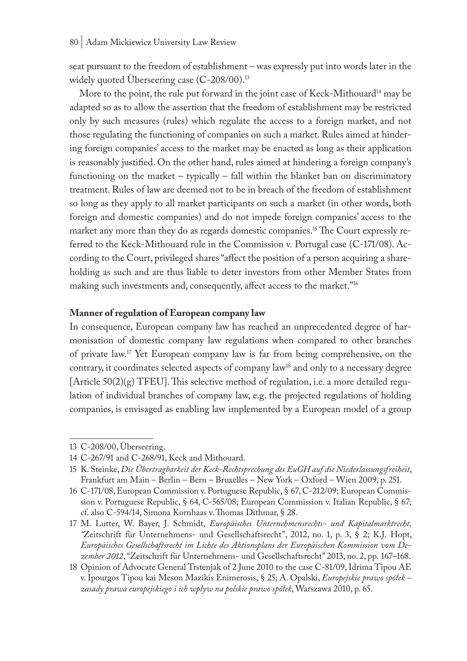seat pursuant to the freedom of establishment – was expressly put into words later in the widely quoted Überseering case (C-208/00).<sup>13</sup>

More to the point, the rule put forward in the joint case of Keck-Mithouard<sup>14</sup> may be adapted so as to allow the assertion that the freedom of establishment may be restricted only by such measures (rules) which regulate the access to a foreign market, and not those regulating the functioning of companies on such a market. Rules aimed at hindering foreign companies' access to the market may be enacted as long as their application is reasonably justified. On the other hand, rules aimed at hindering a foreign company's functioning on the market – typically – fall within the blanket ban on discriminatory treatment. Rules of law are deemed not to be in breach of the freedom of establishment so long as they apply to all market participants on such a market (in other words, both foreign and domestic companies) and do not impede foreign companies' access to the market any more than they do as regards domestic companies.15 The Court expressly referred to the Keck-Mithouard rule in the Commission v. Portugal case (C-171/08). According to the Court, privileged shares "affect the position of a person acquiring a shareholding as such and are thus liable to deter investors from other Member States from making such investments and, consequently, affect access to the market."16

#### **Manner of regulation of European company law**

In consequence, European company law has reached an unprecedented degree of harmonisation of domestic company law regulations when compared to other branches of private law.17 Yet European company law is far from being comprehensive, on the contrary, it coordinates selected aspects of company law<sup>18</sup> and only to a necessary degree [Article  $50(2)(g)$  TFEU]. This selective method of regulation, i.e. a more detailed regulation of individual branches of company law, e.g. the projected regulations of holding companies, is envisaged as enabling law implemented by a European model of a group

<sup>13</sup> C-208/00, Überseering.

<sup>14</sup> C-267/91 and C-268/91, Keck and Mithouard.

<sup>15</sup> K. Steinke, *Die Übertragbarkeit der Keck-Rechtsprechung des EuGH auf die Niederlassungsfreiheit*, Frankfurt am Main – Berlin – Bern – Bruxelles – New York – Oxford – Wien 2009, p. 251.

<sup>16</sup> C-171/08, European Commission v. Portuguese Republic, § 67, C-212/09; European Commission v. Portuguese Republic, § 64, C-565/08; European Commission v. Italian Republic, § 67; cf. also C-594/14, Simona Kornhaas v. Thomas Dithmar, § 28.

<sup>17</sup> M. Lutter, W. Bayer, J. Schmidt, *Europäisches Unternehmensrechts- und Kapitalmarktrecht, "*Zeitschrift für Unternehmens- und Gesellschaftsrecht", 2012, no. 1, p. 3, § 2; K.J. Hopt, *Europäisches Gesellschaftsrecht im Lichte des Aktionsplans der Europäischen Kommission vom Dezember 2012*, "Zeitschrift für Unternehmens- und Gesellschaftsrecht" 2013, no. 2, pp. 167–168.

<sup>18</sup> Opinion of Advocate General Trstenjak of 2 June 2010 to the case C-81/09, Idrima Tipou AE v. Ipourgos Tipou kai Meson Mazikis Enimerosis, § 25; A. Opalski, *Europejskie prawo spółek – zasady prawa europejskiego i ich wpływ na polskie prawo spółek*, Warszawa 2010, p. 65.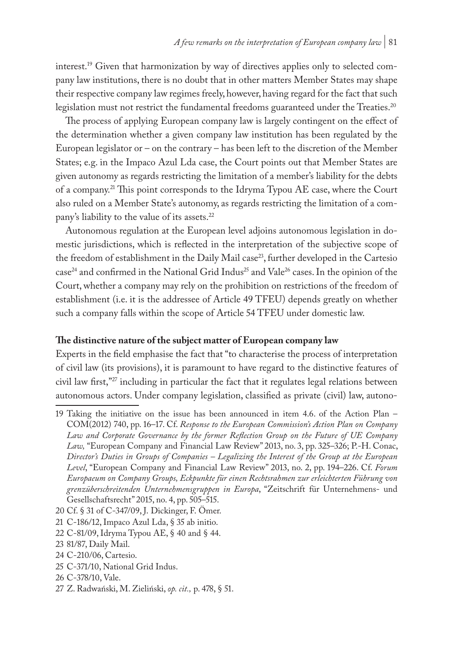interest.<sup>19</sup> Given that harmonization by way of directives applies only to selected company law institutions, there is no doubt that in other matters Member States may shape their respective company law regimes freely, however, having regard for the fact that such legislation must not restrict the fundamental freedoms guaranteed under the Treaties.<sup>20</sup>

The process of applying European company law is largely contingent on the effect of the determination whether a given company law institution has been regulated by the European legislator or  $-$  on the contrary  $-$  has been left to the discretion of the Member States; e.g. in the Impaco Azul Lda case, the Court points out that Member States are given autonomy as regards restricting the limitation of a member's liability for the debts of a company.21 This point corresponds to the Idryma Typou AE case, where the Court also ruled on a Member State's autonomy, as regards restricting the limitation of a company's liability to the value of its assets.22

Autonomous regulation at the European level adjoins autonomous legislation in domestic jurisdictions, which is reflected in the interpretation of the subjective scope of the freedom of establishment in the Daily Mail case<sup>23</sup>, further developed in the Cartesio case<sup>24</sup> and confirmed in the National Grid Indus<sup>25</sup> and Vale<sup>26</sup> cases. In the opinion of the Court, whether a company may rely on the prohibition on restrictions of the freedom of establishment (i.e. it is the addressee of Article 49 TFEU) depends greatly on whether such a company falls within the scope of Article 54 TFEU under domestic law.

### **The distinctive nature of the subject matter of European company law**

Experts in the field emphasise the fact that "to characterise the process of interpretation of civil law (its provisions), it is paramount to have regard to the distinctive features of civil law first,"<sup>27</sup> including in particular the fact that it regulates legal relations between autonomous actors. Under company legislation, classified as private (civil) law, autono-

20 Cf. § 31 of C-347/09, J. Dickinger, F. Ömer.

<sup>19</sup> Taking the initiative on the issue has been announced in item 4.6. of the Action Plan – COM(2012) 740, pp. 16–17. Cf. *Response to the European Commission's Action Plan on Company Law and Corporate Governance by the former Reflection Group on the Future of UE Company Law,* "European Company and Financial Law Review" 2013, no. 3, pp. 325–326; P.-H. Conac, *Director's Duties in Groups of Companies – Legalizing the Interest of the Group at the European Level*, "European Company and Financial Law Review" 2013, no. 2, pp. 194–226. Cf. *Forum Europaeum on Company Groups, Eckpunkte für einen Rechtsrahmen zur erleichterten Führung von grenzüberschreitenden Unternehmensgruppen in Europa*, "Zeitschrift für Unternehmens- und Gesellschaftsrecht" 2015, no. 4, pp. 505–515.

<sup>21</sup> C-186/12, Impaco Azul Lda, § 35 ab initio.

<sup>22</sup> C-81/09, Idryma Typou AE, § 40 and § 44.

<sup>23</sup> 81/87, Daily Mail.

<sup>24</sup> C-210/06, Cartesio.

<sup>25</sup> C-371/10, National Grid Indus.

<sup>26</sup> C-378/10, Vale.

<sup>27</sup> Z. Radwański, M. Zieliński, *op. cit.,* p. 478, § 51.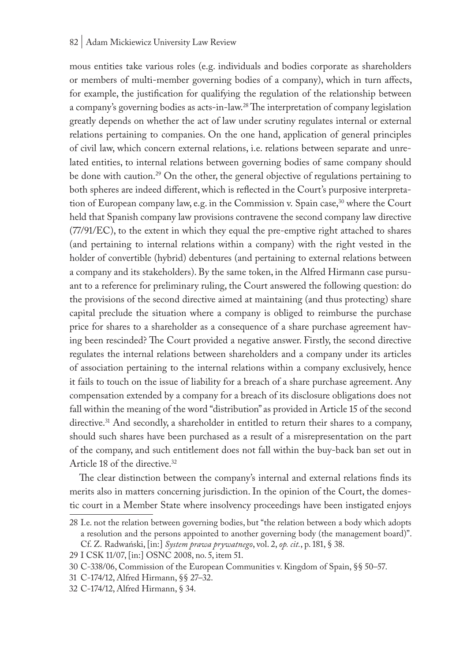#### 82 | Adam Mickiewicz University Law Review

mous entities take various roles (e.g. individuals and bodies corporate as shareholders or members of multi-member governing bodies of a company), which in turn affects, for example, the justification for qualifying the regulation of the relationship between a company's governing bodies as acts-in-law.28 The interpretation of company legislation greatly depends on whether the act of law under scrutiny regulates internal or external relations pertaining to companies. On the one hand, application of general principles of civil law, which concern external relations, i.e. relations between separate and unrelated entities, to internal relations between governing bodies of same company should be done with caution.<sup>29</sup> On the other, the general objective of regulations pertaining to both spheres are indeed different, which is reflected in the Court's purposive interpretation of European company law, e.g. in the Commission v. Spain case,  $30$  where the Court held that Spanish company law provisions contravene the second company law directive (77/91/EC), to the extent in which they equal the pre-emptive right attached to shares (and pertaining to internal relations within a company) with the right vested in the holder of convertible (hybrid) debentures (and pertaining to external relations between a company and its stakeholders). By the same token, in the Alfred Hirmann case pursuant to a reference for preliminary ruling, the Court answered the following question: do the provisions of the second directive aimed at maintaining (and thus protecting) share capital preclude the situation where a company is obliged to reimburse the purchase price for shares to a shareholder as a consequence of a share purchase agreement having been rescinded? The Court provided a negative answer. Firstly, the second directive regulates the internal relations between shareholders and a company under its articles of association pertaining to the internal relations within a company exclusively, hence it fails to touch on the issue of liability for a breach of a share purchase agreement. Any compensation extended by a company for a breach of its disclosure obligations does not fall within the meaning of the word "distribution" as provided in Article 15 of the second directive.<sup>31</sup> And secondly, a shareholder in entitled to return their shares to a company, should such shares have been purchased as a result of a misrepresentation on the part of the company, and such entitlement does not fall within the buy-back ban set out in Article 18 of the directive.32

The clear distinction between the company's internal and external relations finds its merits also in matters concerning jurisdiction. In the opinion of the Court, the domestic court in a Member State where insolvency proceedings have been instigated enjoys

<sup>28</sup> I.e. not the relation between governing bodies, but "the relation between a body which adopts a resolution and the persons appointed to another governing body (the management board)". Cf. Z. Radwański, [in:] *System prawa prywatnego*, vol. 2, *op. cit.*, p. 181, § 38.

<sup>29</sup> I CSK 11/07, [in:] OSNC 2008, no. 5, item 51.

<sup>30</sup> C-338/06, Commission of the European Communities v. Kingdom of Spain, §§ 50–57.

<sup>31</sup> C-174/12, Alfred Hirmann, §§ 27–32.

<sup>32</sup> C-174/12, Alfred Hirmann, § 34.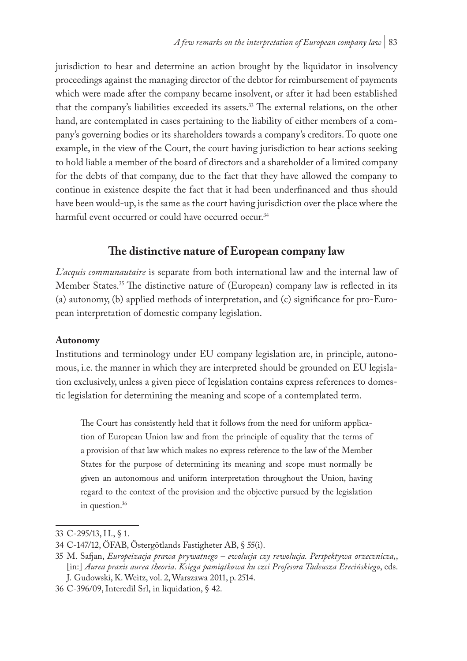jurisdiction to hear and determine an action brought by the liquidator in insolvency proceedings against the managing director of the debtor for reimbursement of payments which were made after the company became insolvent, or after it had been established that the company's liabilities exceeded its assets.33 The external relations, on the other hand, are contemplated in cases pertaining to the liability of either members of a company's governing bodies or its shareholders towards a company's creditors. To quote one example, in the view of the Court, the court having jurisdiction to hear actions seeking to hold liable a member of the board of directors and a shareholder of a limited company for the debts of that company, due to the fact that they have allowed the company to continue in existence despite the fact that it had been underfinanced and thus should have been would-up, is the same as the court having jurisdiction over the place where the harmful event occurred or could have occurred occur.<sup>34</sup>

# **The distinctive nature of European company law**

*L'acquis communautaire* is separate from both international law and the internal law of Member States.35 The distinctive nature of (European) company law is reflected in its (a) autonomy, (b) applied methods of interpretation, and (c) significance for pro-European interpretation of domestic company legislation.

### **Autonomy**

Institutions and terminology under EU company legislation are, in principle, autonomous, i.e. the manner in which they are interpreted should be grounded on EU legislation exclusively, unless a given piece of legislation contains express references to domestic legislation for determining the meaning and scope of a contemplated term.

The Court has consistently held that it follows from the need for uniform application of European Union law and from the principle of equality that the terms of a provision of that law which makes no express reference to the law of the Member States for the purpose of determining its meaning and scope must normally be given an autonomous and uniform interpretation throughout the Union, having regard to the context of the provision and the objective pursued by the legislation in question.<sup>36</sup>

<sup>33</sup> C-295/13, H., § 1.

<sup>34</sup> C-147/12, ÖFAB, Östergötlands Fastigheter AB, § 55(i).

<sup>35</sup> M. Safjan, *Europeizacja prawa prywatnego – ewolucja czy rewolucja. Perspektywa orzecznicza,*, [in:] *Aurea praxis aurea theoria*. *Księga pamiątkowa ku czci Profesora Tadeusza Erecińskiego*, eds. J. Gudowski, K. Weitz, vol. 2, Warszawa 2011, p. 2514.

<sup>36</sup> C-396/09, Interedil Srl, in liquidation, § 42.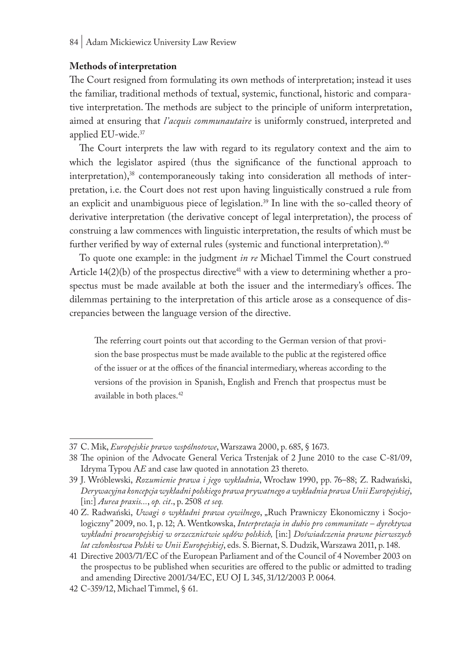#### **Methods of interpretation**

The Court resigned from formulating its own methods of interpretation; instead it uses the familiar, traditional methods of textual, systemic, functional, historic and comparative interpretation. The methods are subject to the principle of uniform interpretation, aimed at ensuring that *l'acquis communautaire* is uniformly construed, interpreted and applied EU-wide.37

The Court interprets the law with regard to its regulatory context and the aim to which the legislator aspired (thus the significance of the functional approach to interpretation),<sup>38</sup> contemporaneously taking into consideration all methods of interpretation, i.e. the Court does not rest upon having linguistically construed a rule from an explicit and unambiguous piece of legislation.39 In line with the so-called theory of derivative interpretation (the derivative concept of legal interpretation), the process of construing a law commences with linguistic interpretation, the results of which must be further verified by way of external rules (systemic and functional interpretation).<sup>40</sup>

To quote one example: in the judgment *in re* Michael Timmel the Court construed Article  $14(2)(b)$  of the prospectus directive<sup>41</sup> with a view to determining whether a prospectus must be made available at both the issuer and the intermediary's offices. The dilemmas pertaining to the interpretation of this article arose as a consequence of discrepancies between the language version of the directive.

The referring court points out that according to the German version of that provision the base prospectus must be made available to the public at the registered office of the issuer or at the offices of the financial intermediary, whereas according to the versions of the provision in Spanish, English and French that prospectus must be available in both places.42

<sup>37</sup> C. Mik, *Europejskie prawo wspólnotowe*, Warszawa 2000, p. 685, § 1673.

<sup>38</sup> The opinion of the Advocate General Verica Trstenjak of 2 June 2010 to the case C-81/09, Idryma Typou A*E* and case law quoted in annotation 23 thereto.

<sup>39</sup> J. Wróblewski, *Rozumienie prawa i jego wykładnia*, Wrocław 1990, pp. 76–88; Z. Radwański, *Derywacyjna koncepcja wykładni polskiego prawa prywatnego a wykładnia prawa Unii Europejskiej*, [in:] *Aurea praxis...*, *op. cit*., p. 2508 *et seq.*

<sup>40</sup> Z. Radwański, *Uwagi o wykładni prawa cywilnego*, "Ruch Prawniczy Ekonomiczny i Socjologiczny" 2009, no. 1, p. 12; A. Wentkowska, *Interpretacja in dubio pro communitate – dyrektywa wykładni proeuropejskiej w orzecznictwie sądów polskich,* [in:] *Doświadczenia prawne pierwszych lat członkostwa Polski w Unii Europejskiej*, eds. S. Biernat, S. Dudzik, Warszawa 2011, p. 148.

<sup>41</sup> Directive 2003/71/EC of the European Parliament and of the Council of 4 November 2003 on the prospectus to be published when securities are offered to the public or admitted to trading and amending Directive 2001/34/EC, EU OJ L 345, 31/12/2003 P. 0064*.*

<sup>42</sup> C-359/12, Michael Timmel, § 61.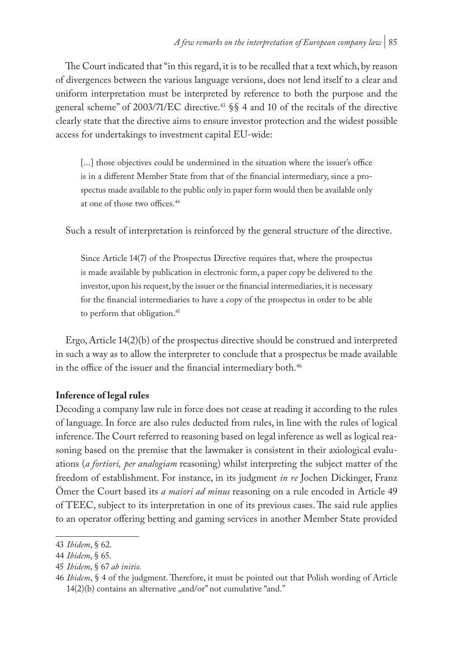The Court indicated that "in this regard, it is to be recalled that a text which, by reason of divergences between the various language versions, does not lend itself to a clear and uniform interpretation must be interpreted by reference to both the purpose and the general scheme" of 2003/71/EC directive.43 §§ 4 and 10 of the recitals of the directive clearly state that the directive aims to ensure investor protection and the widest possible access for undertakings to investment capital EU-wide:

[...] those objectives could be undermined in the situation where the issuer's office is in a different Member State from that of the financial intermediary, since a prospectus made available to the public only in paper form would then be available only at one of those two offices.<sup>44</sup>

Such a result of interpretation is reinforced by the general structure of the directive.

Since Article 14(7) of the Prospectus Directive requires that, where the prospectus is made available by publication in electronic form, a paper copy be delivered to the investor, upon his request, by the issuer or the financial intermediaries, it is necessary for the financial intermediaries to have a copy of the prospectus in order to be able to perform that obligation.<sup>45</sup>

Ergo, Article 14(2)(b) of the prospectus directive should be construed and interpreted in such a way as to allow the interpreter to conclude that a prospectus be made available in the office of the issuer and the financial intermediary both.<sup>46</sup>

### **Inference of legal rules**

Decoding a company law rule in force does not cease at reading it according to the rules of language. In force are also rules deducted from rules, in line with the rules of logical inference. The Court referred to reasoning based on legal inference as well as logical reasoning based on the premise that the lawmaker is consistent in their axiological evaluations (*a fortiori, per analogiam* reasoning) whilst interpreting the subject matter of the freedom of establishment. For instance, in its judgment *in re* Jochen Dickinger, Franz Ömer the Court based its *a maiori ad minus* reasoning on a rule encoded in Article 49 of TEEC, subject to its interpretation in one of its previous cases. The said rule applies to an operator offering betting and gaming services in another Member State provided

<sup>43</sup> *Ibidem*, § 62.

<sup>44</sup> *Ibidem*, § 65.

<sup>45</sup> *Ibidem*, § 67 *ab initio.*

<sup>46</sup> *Ibidem*, § 4 of the judgment. Therefore, it must be pointed out that Polish wording of Article  $14(2)(b)$  contains an alternative "and/or" not cumulative "and."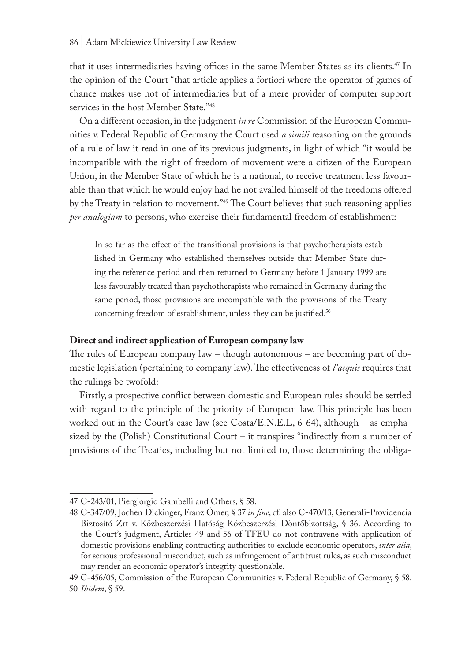that it uses intermediaries having offices in the same Member States as its clients.<sup>47</sup> In the opinion of the Court "that article applies a fortiori where the operator of games of chance makes use not of intermediaries but of a mere provider of computer support services in the host Member State."<sup>48</sup>

On a different occasion, in the judgment *in re* Commission of the European Communities v. Federal Republic of Germany the Court used *a simili* reasoning on the grounds of a rule of law it read in one of its previous judgments, in light of which "it would be incompatible with the right of freedom of movement were a citizen of the European Union, in the Member State of which he is a national, to receive treatment less favourable than that which he would enjoy had he not availed himself of the freedoms offered by the Treaty in relation to movement."49 The Court believes that such reasoning applies *per analogiam* to persons, who exercise their fundamental freedom of establishment:

In so far as the effect of the transitional provisions is that psychotherapists established in Germany who established themselves outside that Member State during the reference period and then returned to Germany before 1 January 1999 are less favourably treated than psychotherapists who remained in Germany during the same period, those provisions are incompatible with the provisions of the Treaty concerning freedom of establishment, unless they can be justified.<sup>50</sup>

### **Direct and indirect application of European company law**

The rules of European company law – though autonomous – are becoming part of domestic legislation (pertaining to company law). The effectiveness of *l'acquis* requires that the rulings be twofold:

Firstly, a prospective conflict between domestic and European rules should be settled with regard to the principle of the priority of European law. This principle has been worked out in the Court's case law (see Costa/E.N.E.L, 6-64), although – as emphasized by the (Polish) Constitutional Court – it transpires "indirectly from a number of provisions of the Treaties, including but not limited to, those determining the obliga-

<sup>47</sup> C-243/01, Piergiorgio Gambelli and Others, § 58.

<sup>48</sup> C-347/09, Jochen Dickinger, Franz Ömer, § 37 *in fine*, cf. also C-470/13, Generali-Providencia Biztosító Zrt v. Közbeszerzési Hatóság Közbeszerzési Döntőbizottság, § 36. According to the Court's judgment, Articles 49 and 56 of TFEU do not contravene with application of domestic provisions enabling contracting authorities to exclude economic operators, *inter alia*, for serious professional misconduct, such as infringement of antitrust rules, as such misconduct may render an economic operator's integrity questionable.

<sup>49</sup> C-456/05, Commission of the European Communities v. Federal Republic of Germany, § 58. 50 *Ibidem*, § 59.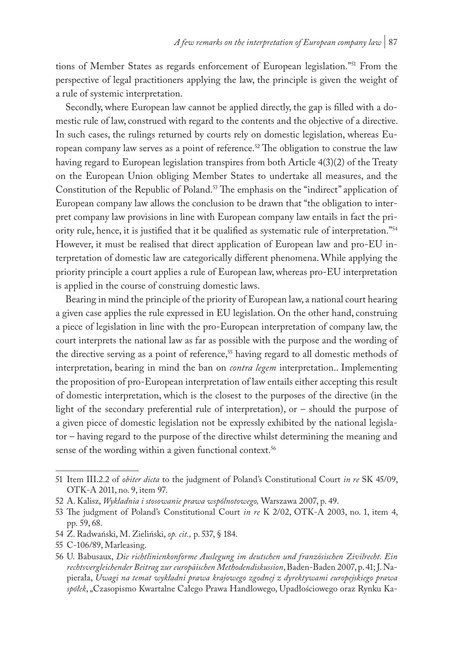tions of Member States as regards enforcement of European legislation."51 From the perspective of legal practitioners applying the law, the principle is given the weight of a rule of systemic interpretation.

Secondly, where European law cannot be applied directly, the gap is filled with a domestic rule of law, construed with regard to the contents and the objective of a directive. In such cases, the rulings returned by courts rely on domestic legislation, whereas European company law serves as a point of reference.<sup>52</sup> The obligation to construe the law having regard to European legislation transpires from both Article 4(3)(2) of the Treaty on the European Union obliging Member States to undertake all measures, and the Constitution of the Republic of Poland.53 The emphasis on the "indirect" application of European company law allows the conclusion to be drawn that "the obligation to interpret company law provisions in line with European company law entails in fact the priority rule, hence, it is justified that it be qualified as systematic rule of interpretation."54 However, it must be realised that direct application of European law and pro-EU interpretation of domestic law are categorically different phenomena. While applying the priority principle a court applies a rule of European law, whereas pro-EU interpretation is applied in the course of construing domestic laws.

Bearing in mind the principle of the priority of European law, a national court hearing a given case applies the rule expressed in EU legislation. On the other hand, construing a piece of legislation in line with the pro-European interpretation of company law, the court interprets the national law as far as possible with the purpose and the wording of the directive serving as a point of reference,<sup>55</sup> having regard to all domestic methods of interpretation, bearing in mind the ban on *contra legem* interpretation.. Implementing the proposition of pro-European interpretation of law entails either accepting this result of domestic interpretation, which is the closest to the purposes of the directive (in the light of the secondary preferential rule of interpretation), or – should the purpose of a given piece of domestic legislation not be expressly exhibited by the national legislator – having regard to the purpose of the directive whilst determining the meaning and sense of the wording within a given functional context.<sup>56</sup>

<sup>51</sup> Item III.2.2 of *obiter dicta* to the judgment of Poland's Constitutional Court *in re* SK 45/09, OTK-A 2011, no. 9, item 97.

<sup>52</sup> A. Kalisz, *Wykładnia i stosowanie prawa wspólnotowego,* Warszawa 2007, p. 49.

<sup>53</sup> The judgment of Poland's Constitutional Court *in re* K 2/02, OTK-A 2003, no. 1, item 4, pp. 59, 68.

<sup>54</sup> Z. Radwański, M. Zieliński, *op. cit.,* p. 537, § 184.

<sup>55</sup> C-106/89, Marleasing.

<sup>56</sup> U. Babusaux, *Die richtlinienkonforme Auslegung im deutschen und französischen Zivilrecht. Ein rechtsvergleichender Beitrag zur europäischen Methodendiskussion*, Baden-Baden 2007, p. 41; J. Napierała, *Uwagi na temat wykładni prawa krajowego zgodnej z dyrektywami europejskiego prawa spółek*, "Czasopismo Kwartalne Całego Prawa Handlowego, Upadłościowego oraz Rynku Ka-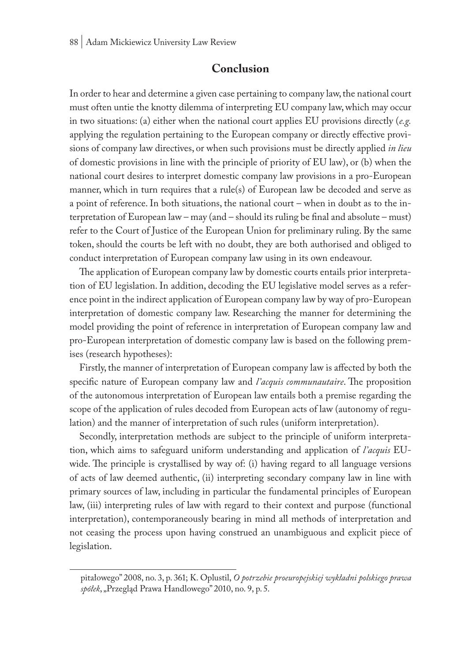### **Conclusion**

In order to hear and determine a given case pertaining to company law, the national court must often untie the knotty dilemma of interpreting EU company law, which may occur in two situations: (a) either when the national court applies EU provisions directly (*e.g.* applying the regulation pertaining to the European company or directly effective provisions of company law directives, or when such provisions must be directly applied *in lieu*  of domestic provisions in line with the principle of priority of EU law), or (b) when the national court desires to interpret domestic company law provisions in a pro-European manner, which in turn requires that a rule(s) of European law be decoded and serve as a point of reference. In both situations, the national court – when in doubt as to the interpretation of European law – may (and – should its ruling be final and absolute – must) refer to the Court of Justice of the European Union for preliminary ruling. By the same token, should the courts be left with no doubt, they are both authorised and obliged to conduct interpretation of European company law using in its own endeavour.

The application of European company law by domestic courts entails prior interpretation of EU legislation. In addition, decoding the EU legislative model serves as a reference point in the indirect application of European company law by way of pro-European interpretation of domestic company law. Researching the manner for determining the model providing the point of reference in interpretation of European company law and pro-European interpretation of domestic company law is based on the following premises (research hypotheses):

Firstly, the manner of interpretation of European company law is affected by both the specific nature of European company law and *l'acquis communautaire*. The proposition of the autonomous interpretation of European law entails both a premise regarding the scope of the application of rules decoded from European acts of law (autonomy of regulation) and the manner of interpretation of such rules (uniform interpretation).

Secondly, interpretation methods are subject to the principle of uniform interpretation, which aims to safeguard uniform understanding and application of *l'acquis* EUwide. The principle is crystallised by way of: (i) having regard to all language versions of acts of law deemed authentic, (ii) interpreting secondary company law in line with primary sources of law, including in particular the fundamental principles of European law, (iii) interpreting rules of law with regard to their context and purpose (functional interpretation), contemporaneously bearing in mind all methods of interpretation and not ceasing the process upon having construed an unambiguous and explicit piece of legislation.

pitałowego" 2008, no. 3, p. 361; K. Oplustil, *O potrzebie proeuropejskiej wykładni polskiego prawa*  spółek, "Przegląd Prawa Handlowego" 2010, no. 9, p. 5.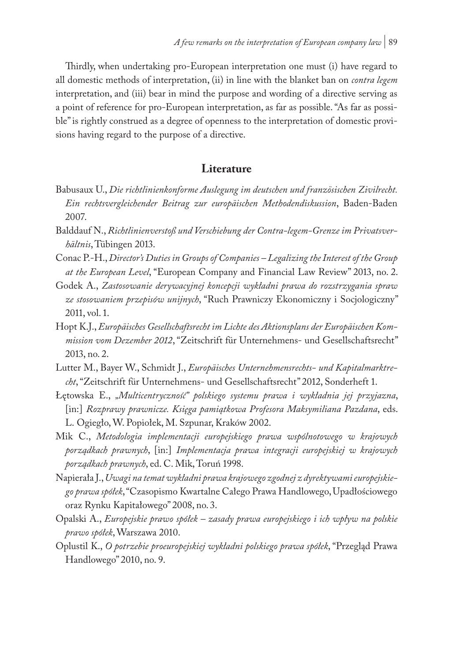Thirdly, when undertaking pro-European interpretation one must (i) have regard to all domestic methods of interpretation, (ii) in line with the blanket ban on *contra legem*  interpretation, and (iii) bear in mind the purpose and wording of a directive serving as a point of reference for pro-European interpretation, as far as possible. "As far as possible" is rightly construed as a degree of openness to the interpretation of domestic provisions having regard to the purpose of a directive.

### **Literature**

- Babusaux U., *Die richtlinienkonforme Auslegung im deutschen und französischen Zivilrecht. Ein rechtsvergleichender Beitrag zur europäischen Methodendiskussion*, Baden-Baden 2007.
- Balddauf N., *Richtlinienverstoß und Verschiebung der Contra-legem-Grenze im Privatsverhältnis*, Tübingen 2013.
- Conac P.-H., *Director's Duties in Groups of Companies Legalizing the Interest of the Group at the European Level*, "European Company and Financial Law Review" 2013, no. 2.
- Godek A., *Zastosowanie derywacyjnej koncepcji wykładni prawa do rozstrzygania spraw ze stosowaniem przepisów unijnych*, "Ruch Prawniczy Ekonomiczny i Socjologiczny" 2011, vol. 1.
- Hopt K.J., *Europäisches Gesellschaftsrecht im Lichte des Aktionsplans der Europäischen Kommission vom Dezember 2012*, "Zeitschrift für Unternehmens- und Gesellschaftsrecht" 2013, no. 2.
- Lutter M., Bayer W., Schmidt J., *Europäisches Unternehmensrechts- und Kapitalmarktrecht*, "Zeitschrift für Unternehmens- und Gesellschaftsrecht" 2012, Sonderheft 1.
- Łętowska E., *"Multicentryczność" polskiego systemu prawa i wykładnia jej przyjazna*, [in:] *Rozprawy prawnicze. Księga pamiątkowa Profesora Maksymiliana Pazdana*, eds. L. Ogiegło, W. Popiołek, M. Szpunar, Kraków 2002.
- Mik C., *Metodologia implementacji europejskiego prawa wspólnotowego w krajowych porządkach prawnych*, [in:] *Implementacja prawa integracji europejskiej w krajowych porządkach prawnych*, ed. C. Mik, Toruń 1998.
- Napierała J., *Uwagi na temat wykładni prawa krajowego zgodnej z dyrektywami europejskiego prawa spółek*, "Czasopismo Kwartalne Całego Prawa Handlowego, Upadłościowego oraz Rynku Kapitałowego" 2008, no. 3.
- Opalski A., *Europejskie prawo spółek zasady prawa europejskiego i ich wpływ na polskie prawo spółek*, Warszawa 2010.
- Oplustil K., *O potrzebie proeuropejskiej wykładni polskiego prawa spółek*, "Przegląd Prawa Handlowego" 2010, no. 9.